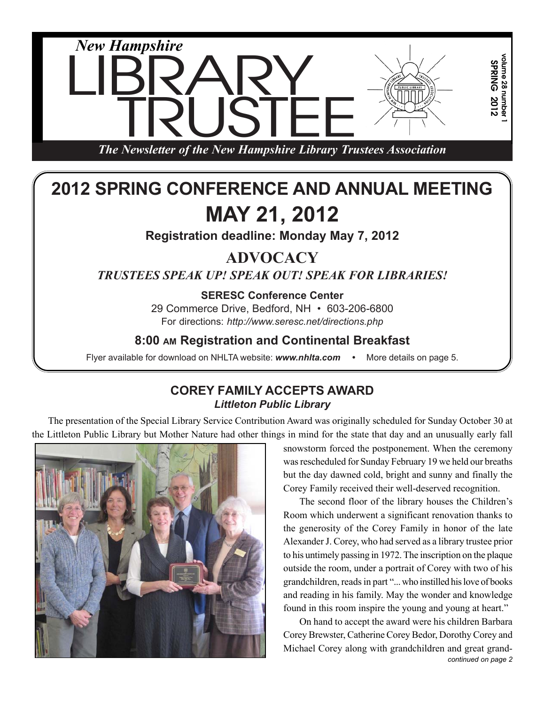

# **2012 SPRING CONFERENCE AND ANNUAL MEETING MAY 21, 2012**

**Registration deadline: Monday May 7, 2012**

## **ADVOCACY**

*TRUSTEES SPEAK UP! SPEAK OUT! SPEAK FOR LIBRARIES!*

**SERESC Conference Center**

29 Commerce Drive, Bedford, NH • 603-206-6800 For directions: *http://www.seresc.net/directions.php*

## **8:00 AM Registration and Continental Breakfast**

Flyer available for download on NHLTA website: **www.nhlta.com** • More details on page 5.

## **COREY FAMILY ACCEPTS AWARD** *Littleton Public Library*

The presentation of the Special Library Service Contribution Award was originally scheduled for Sunday October 30 at the Littleton Public Library but Mother Nature had other things in mind for the state that day and an unusually early fall



snowstorm forced the postponement. When the ceremony was rescheduled for Sunday February 19 we held our breaths but the day dawned cold, bright and sunny and finally the Corey Family received their well-deserved recognition.

The second floor of the library houses the Children's Room which underwent a significant renovation thanks to the generosity of the Corey Family in honor of the late Alexander J. Corey, who had served as a library trustee prior to his untimely passing in 1972. The inscription on the plaque outside the room, under a portrait of Corey with two of his grandchildren, reads in part "... who instilled his love of books and reading in his family. May the wonder and knowledge found in this room inspire the young and young at heart."

On hand to accept the award were his children Barbara Corey Brewster, Catherine Corey Bedor, Dorothy Corey and Michael Corey along with grandchildren and great grand*continued on page 2*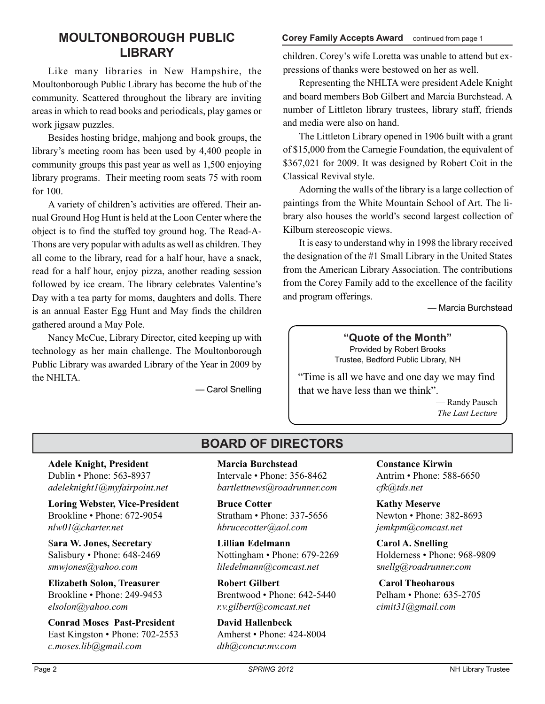# **LIBRARY**

Like many libraries in New Hampshire, the Moultonborough Public Library has become the hub of the community. Scattered throughout the library are inviting areas in which to read books and periodicals, play games or work jigsaw puzzles.

Besides hosting bridge, mahjong and book groups, the library's meeting room has been used by 4,400 people in community groups this past year as well as 1,500 enjoying library programs. Their meeting room seats 75 with room for 100.

A variety of children's activities are offered. Their annual Ground Hog Hunt is held at the Loon Center where the object is to find the stuffed toy ground hog. The Read-A-Thons are very popular with adults as well as children. They all come to the library, read for a half hour, have a snack, read for a half hour, enjoy pizza, another reading session followed by ice cream. The library celebrates Valentine's Day with a tea party for moms, daughters and dolls. There is an annual Easter Egg Hunt and May finds the children gathered around a May Pole.

Nancy McCue, Library Director, cited keeping up with technology as her main challenge. The Moultonborough Public Library was awarded Library of the Year in 2009 by the NHLTA.

— Carol Snelling

#### **MOULTONBOROUGH PUBLIC Corey Family Accepts Award** continued from page 1

children. Corey's wife Loretta was unable to attend but expressions of thanks were bestowed on her as well.

Representing the NHLTA were president Adele Knight and board members Bob Gilbert and Marcia Burchstead. A number of Littleton library trustees, library staff, friends and media were also on hand.

The Littleton Library opened in 1906 built with a grant of \$15,000 from the Carnegie Foundation, the equivalent of \$367,021 for 2009. It was designed by Robert Coit in the Classical Revival style.

Adorning the walls of the library is a large collection of paintings from the White Mountain School of Art. The library also houses the world's second largest collection of Kilburn stereoscopic views.

It is easy to understand why in 1998 the library received the designation of the #1 Small Library in the United States from the American Library Association. The contributions from the Corey Family add to the excellence of the facility and program offerings.

— Marcia Burchstead

#### **"Quote of the Month"** Provided by Robert Brooks Trustee, Bedford Public Library, NH

"Time is all we have and one day we may find that we have less than we think".

> — Randy Pausch *The Last Lecture*

## **BOARD OF DIRECTORS**

**Adele Knight, President** Dublin • Phone: 563-8937 *adeleknight1@myfairpoint.net*

**Loring Webster, Vice-President** Brookline • Phone: 672-9054 *nlw01@charter.net*

S**ara W. Jones, Secretary** Salisbury • Phone: 648-2469 *smwjones@yahoo.com*

**Elizabeth Solon, Treasurer** Brookline • Phone: 249-9453 *elsolon@yahoo.com*

**Conrad Moses Past-President** East Kingston • Phone: 702-2553 *c.moses.lib@gmail.com*

**Marcia Burchstead** Intervale • Phone: 356-8462 *bartlettnews@roadrunner.com*

**Bruce Cotter** Stratham • Phone: 337-5656 *hbrucecotter@aol.com*

**Lillian Edelmann** Nottingham • Phone: 679-2269 *liledelmann@comcast.net*

**Robert Gilbert** Brentwood • Phone: 642-5440 *r.v.gilbert@comcast.net*

**David Hallenbeck** Amherst • Phone: 424-8004 *dth@concur.mv.com*

**Constance Kirwin** Antrim • Phone: 588-6650 *cfk@tds.net*

**Kathy Meserve** Newton • Phone: 382-8693 *jemkpm@comcast.net*

**Carol A. Snelling** Holderness • Phone: 968-9809 s*nellg@roadrunner.com*

**Carol Theoharous** Pelham • Phone: 635-2705 *cimit31@gmail.com*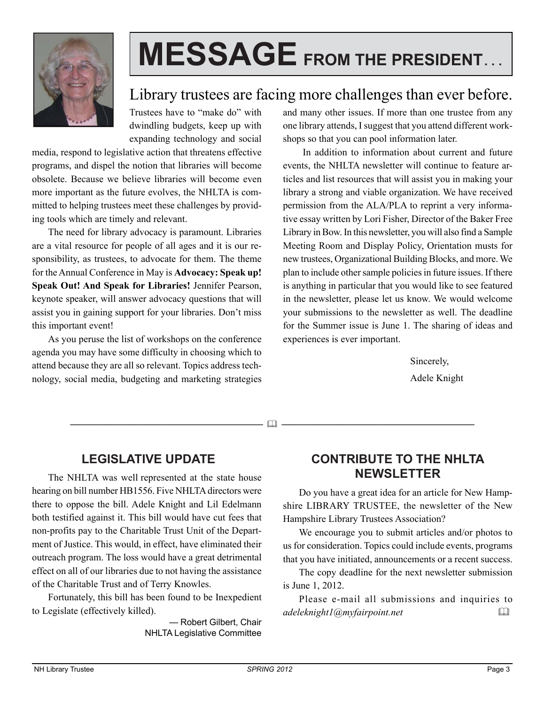

# **MESSAGE FROM THE PRESIDENT. . .**

## Library trustees are facing more challenges than ever before.

Trustees have to "make do" with dwindling budgets, keep up with expanding technology and social

media, respond to legislative action that threatens effective programs, and dispel the notion that libraries will become obsolete. Because we believe libraries will become even more important as the future evolves, the NHLTA is committed to helping trustees meet these challenges by providing tools which are timely and relevant.

The need for library advocacy is paramount. Libraries are a vital resource for people of all ages and it is our responsibility, as trustees, to advocate for them. The theme for the Annual Conference in May is **Advocacy: Speak up! Speak Out! And Speak for Libraries!** Jennifer Pearson, keynote speaker, will answer advocacy questions that will assist you in gaining support for your libraries. Don't miss this important event!

As you peruse the list of workshops on the conference agenda you may have some difficulty in choosing which to attend because they are all so relevant. Topics address technology, social media, budgeting and marketing strategies and many other issues. If more than one trustee from any one library attends, I suggest that you attend different workshops so that you can pool information later.

 In addition to information about current and future events, the NHLTA newsletter will continue to feature articles and list resources that will assist you in making your library a strong and viable organization. We have received permission from the ALA/PLA to reprint a very informative essay written by Lori Fisher, Director of the Baker Free Library in Bow. In this newsletter, you will also find a Sample Meeting Room and Display Policy, Orientation musts for new trustees, Organizational Building Blocks, and more. We plan to include other sample policies in future issues. If there is anything in particular that you would like to see featured in the newsletter, please let us know. We would welcome your submissions to the newsletter as well. The deadline for the Summer issue is June 1. The sharing of ideas and experiences is ever important.

> Sincerely, Adele Knight

—————————————————————— ——————————————————————

## **LEGISLATIVE UPDATE**

The NHLTA was well represented at the state house hearing on bill number HB1556. Five NHLTA directors were there to oppose the bill. Adele Knight and Lil Edelmann both testified against it. This bill would have cut fees that non-profits pay to the Charitable Trust Unit of the Department of Justice. This would, in effect, have eliminated their outreach program. The loss would have a great detrimental effect on all of our libraries due to not having the assistance of the Charitable Trust and of Terry Knowles.

Fortunately, this bill has been found to be Inexpedient to Legislate (effectively killed).

> — Robert Gilbert, Chair NHLTA Legislative Committee

## **CONTRIBUTE TO THE NHLTA NEWSLETTER**

Do you have a great idea for an article for New Hampshire LIBRARY TRUSTEE, the newsletter of the New Hampshire Library Trustees Association?

We encourage you to submit articles and/or photos to us for consideration. Topics could include events, programs that you have initiated, announcements or a recent success.

The copy deadline for the next newsletter submission is June 1, 2012.

Please e-mail all submissions and inquiries to *adeleknight1@myfairpoint.net*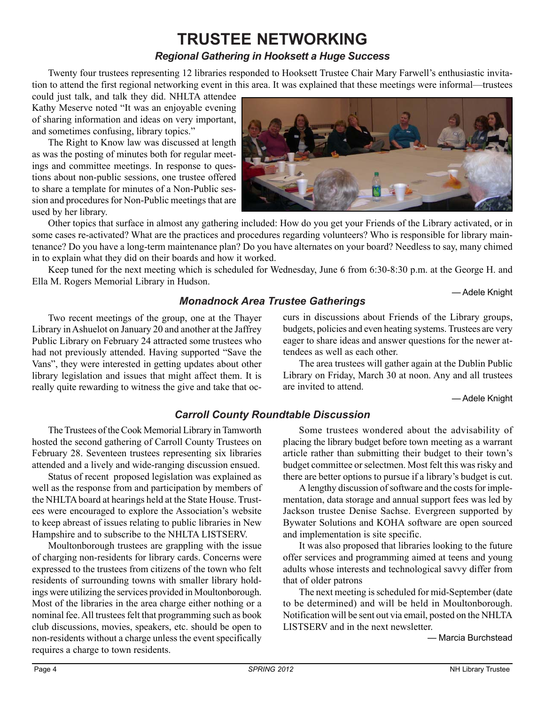# **TRUSTEE NETWORKING**

### *Regional Gathering in Hooksett a Huge Success*

Twenty four trustees representing 12 libraries responded to Hooksett Trustee Chair Mary Farwell's enthusiastic invitation to attend the first regional networking event in this area. It was explained that these meetings were informal—trustees

could just talk, and talk they did. NHLTA attendee Kathy Meserve noted "It was an enjoyable evening of sharing information and ideas on very important, and sometimes confusing, library topics."

The Right to Know law was discussed at length as was the posting of minutes both for regular meetings and committee meetings. In response to questions about non-public sessions, one trustee offered to share a template for minutes of a Non-Public session and procedures for Non-Public meetings that are used by her library.



Other topics that surface in almost any gathering included: How do you get your Friends of the Library activated, or in some cases re-activated? What are the practices and procedures regarding volunteers? Who is responsible for library maintenance? Do you have a long-term maintenance plan? Do you have alternates on your board? Needless to say, many chimed in to explain what they did on their boards and how it worked.

Keep tuned for the next meeting which is scheduled for Wednesday, June 6 from 6:30-8:30 p.m. at the George H. and Ella M. Rogers Memorial Library in Hudson.

— Adele Knight

### *Monadnock Area Trustee Gatherings*

Two recent meetings of the group, one at the Thayer Library in Ashuelot on January 20 and another at the Jaffrey Public Library on February 24 attracted some trustees who had not previously attended. Having supported "Save the Vans", they were interested in getting updates about other library legislation and issues that might affect them. It is really quite rewarding to witness the give and take that occurs in discussions about Friends of the Library groups, budgets, policies and even heating systems. Trustees are very eager to share ideas and answer questions for the newer attendees as well as each other.

The area trustees will gather again at the Dublin Public Library on Friday, March 30 at noon. Any and all trustees are invited to attend.

— Adele Knight

## *Carroll County Roundtable Discussion*

The Trustees of the Cook Memorial Library in Tamworth hosted the second gathering of Carroll County Trustees on February 28. Seventeen trustees representing six libraries attended and a lively and wide-ranging discussion ensued.

Status of recent proposed legislation was explained as well as the response from and participation by members of the NHLTA board at hearings held at the State House. Trustees were encouraged to explore the Association's website to keep abreast of issues relating to public libraries in New Hampshire and to subscribe to the NHLTA LISTSERV.

Moultonborough trustees are grappling with the issue of charging non-residents for library cards. Concerns were expressed to the trustees from citizens of the town who felt residents of surrounding towns with smaller library holdings were utilizing the services provided in Moultonborough. Most of the libraries in the area charge either nothing or a nominal fee. All trustees felt that programming such as book club discussions, movies, speakers, etc. should be open to non-residents without a charge unless the event specifically requires a charge to town residents.

Some trustees wondered about the advisability of placing the library budget before town meeting as a warrant article rather than submitting their budget to their town's budget committee or selectmen. Most felt this was risky and there are better options to pursue if a library's budget is cut.

A lengthy discussion of software and the costs for implementation, data storage and annual support fees was led by Jackson trustee Denise Sachse. Evergreen supported by Bywater Solutions and KOHA software are open sourced and implementation is site specific.

It was also proposed that libraries looking to the future offer services and programming aimed at teens and young adults whose interests and technological savvy differ from that of older patrons

The next meeting is scheduled for mid-September (date to be determined) and will be held in Moultonborough. Notification will be sent out via email, posted on the NHLTA LISTSERV and in the next newsletter.

— Marcia Burchstead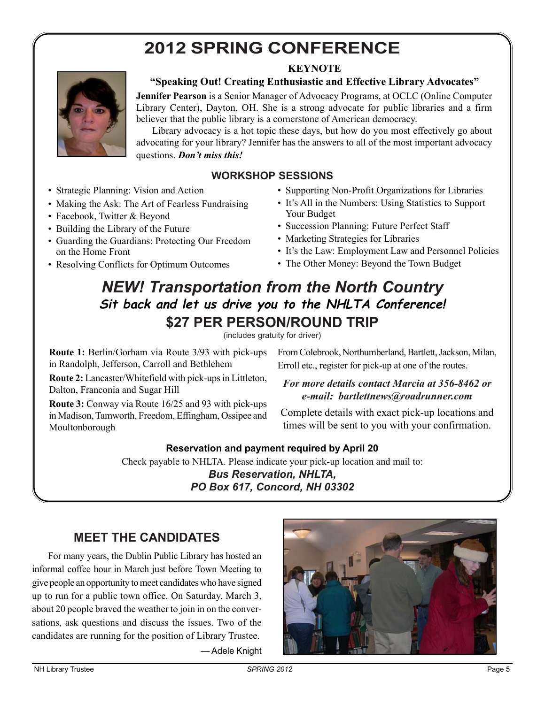# **2012 SPRING CONFERENCE**

### **KEYNOTE**



### **"Speaking Out! Creating Enthusiastic and Effective Library Advocates"**

**Jennifer Pearson** is a Senior Manager of Advocacy Programs, at OCLC (Online Computer Library Center), Dayton, OH. She is a strong advocate for public libraries and a firm believer that the public library is a cornerstone of American democracy.

Library advocacy is a hot topic these days, but how do you most effectively go about advocating for your library? Jennifer has the answers to all of the most important advocacy questions. *Don't miss this!*

### **WORKSHOP SESSIONS**

- Strategic Planning: Vision and Action
- Making the Ask: The Art of Fearless Fundraising
- Facebook, Twitter & Beyond
- Building the Library of the Future
- Guarding the Guardians: Protecting Our Freedom on the Home Front
- Resolving Conflicts for Optimum Outcomes
- Supporting Non-Profit Organizations for Libraries
- It's All in the Numbers: Using Statistics to Support Your Budget
- Succession Planning: Future Perfect Staff
- Marketing Strategies for Libraries
- It's the Law: Employment Law and Personnel Policies
- The Other Money: Beyond the Town Budget

## *NEW! Transportation from the North Country* **Sit back and let us drive you to the NHLTA Conference! \$27 PER PERSON/ROUND TRIP**

(includes gratuity for driver)

**Route 1:** Berlin/Gorham via Route 3/93 with pick-ups in Randolph, Jefferson, Carroll and Bethlehem

**Route 2:** Lancaster/Whitefield with pick-ups in Littleton, Dalton, Franconia and Sugar Hill

**Route 3:** Conway via Route 16/25 and 93 with pick-ups in Madison, Tamworth, Freedom, Effingham, Ossipee and Moultonborough

From Colebrook, Northumberland, Bartlett, Jackson, Milan, Erroll etc., register for pick-up at one of the routes.

#### *For more details contact Marcia at 356-8462 or e-mail: bartlettnews@roadrunner.com*

Complete details with exact pick-up locations and times will be sent to you with your confirmation.

#### **Reservation and payment required by April 20**

Check payable to NHLTA. Please indicate your pick-up location and mail to:

*Bus Reservation, NHLTA, PO Box 617, Concord, NH 03302*

## **MEET THE CANDIDATES**

For many years, the Dublin Public Library has hosted an informal coffee hour in March just before Town Meeting to give people an opportunity to meet candidates who have signed up to run for a public town office. On Saturday, March 3, about 20 people braved the weather to join in on the conversations, ask questions and discuss the issues. Two of the candidates are running for the position of Library Trustee.

— Adele Knight

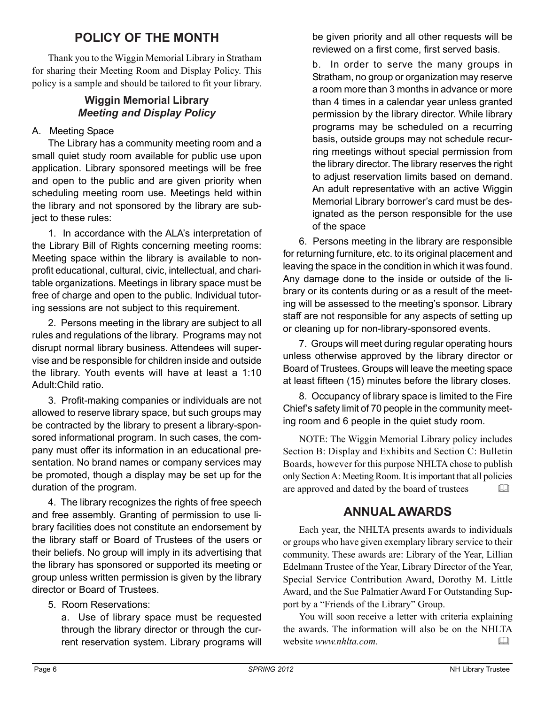## **POLICY OF THE MONTH**

Thank you to the Wiggin Memorial Library in Stratham for sharing their Meeting Room and Display Policy. This policy is a sample and should be tailored to fit your library.

#### **Wiggin Memorial Library** *Meeting and Display Policy*

#### A. Meeting Space

The Library has a community meeting room and a small quiet study room available for public use upon application. Library sponsored meetings will be free and open to the public and are given priority when scheduling meeting room use. Meetings held within the library and not sponsored by the library are subject to these rules:

1. In accordance with the ALA's interpretation of the Library Bill of Rights concerning meeting rooms: Meeting space within the library is available to nonprofit educational, cultural, civic, intellectual, and charitable organizations. Meetings in library space must be free of charge and open to the public. Individual tutoring sessions are not subject to this requirement.

2. Persons meeting in the library are subject to all rules and regulations of the library. Programs may not disrupt normal library business. Attendees will supervise and be responsible for children inside and outside the library. Youth events will have at least a 1:10 Adult:Child ratio.

3. Profit-making companies or individuals are not allowed to reserve library space, but such groups may be contracted by the library to present a library-sponsored informational program. In such cases, the company must offer its information in an educational presentation. No brand names or company services may be promoted, though a display may be set up for the duration of the program.

4. The library recognizes the rights of free speech and free assembly. Granting of permission to use library facilities does not constitute an endorsement by the library staff or Board of Trustees of the users or their beliefs. No group will imply in its advertising that the library has sponsored or supported its meeting or group unless written permission is given by the library director or Board of Trustees.

#### 5. Room Reservations:

a. Use of library space must be requested through the library director or through the current reservation system. Library programs will be given priority and all other requests will be reviewed on a first come, first served basis.

b. In order to serve the many groups in Stratham, no group or organization may reserve a room more than 3 months in advance or more than 4 times in a calendar year unless granted permission by the library director. While library programs may be scheduled on a recurring basis, outside groups may not schedule recurring meetings without special permission from the library director. The library reserves the right to adjust reservation limits based on demand. An adult representative with an active Wiggin Memorial Library borrower's card must be designated as the person responsible for the use of the space

6. Persons meeting in the library are responsible for returning furniture, etc. to its original placement and leaving the space in the condition in which it was found. Any damage done to the inside or outside of the library or its contents during or as a result of the meeting will be assessed to the meeting's sponsor. Library staff are not responsible for any aspects of setting up or cleaning up for non-library-sponsored events.

7. Groups will meet during regular operating hours unless otherwise approved by the library director or Board of Trustees. Groups will leave the meeting space at least fifteen (15) minutes before the library closes.

8. Occupancy of library space is limited to the Fire Chief's safety limit of 70 people in the community meeting room and 6 people in the quiet study room.

NOTE: The Wiggin Memorial Library policy includes Section B: Display and Exhibits and Section C: Bulletin Boards, however for this purpose NHLTA chose to publish only Section A: Meeting Room. It is important that all policies are approved and dated by the board of trustees 

## **ANNUAL AWARDS**

Each year, the NHLTA presents awards to individuals or groups who have given exemplary library service to their community. These awards are: Library of the Year, Lillian Edelmann Trustee of the Year, Library Director of the Year, Special Service Contribution Award, Dorothy M. Little Award, and the Sue Palmatier Award For Outstanding Support by a "Friends of the Library" Group.

You will soon receive a letter with criteria explaining the awards. The information will also be on the NHLTA website *www.nhlta.com*.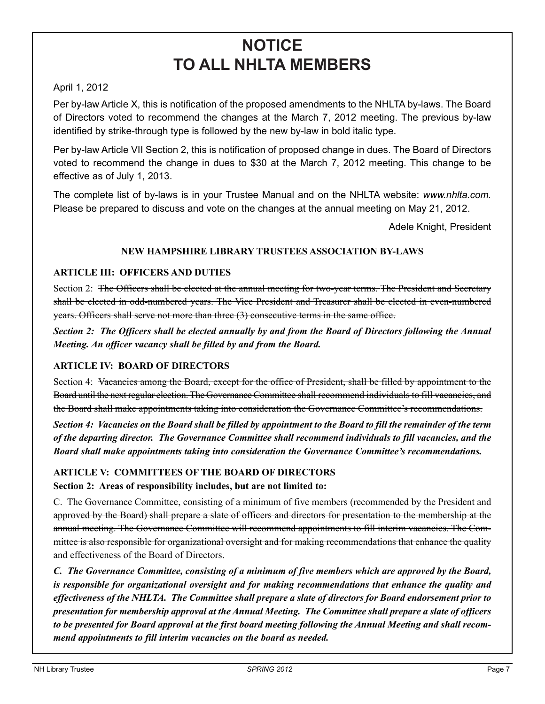## **NOTICE TO ALL NHLTA MEMBERS**

#### April 1, 2012

Per by-law Article X, this is notification of the proposed amendments to the NHLTA by-laws. The Board of Directors voted to recommend the changes at the March 7, 2012 meeting. The previous by-law identified by strike-through type is followed by the new by-law in bold italic type.

Per by-law Article VII Section 2, this is notification of proposed change in dues. The Board of Directors voted to recommend the change in dues to \$30 at the March 7, 2012 meeting. This change to be effective as of July 1, 2013.

The complete list of by-laws is in your Trustee Manual and on the NHLTA website: *www.nhlta.com.* Please be prepared to discuss and vote on the changes at the annual meeting on May 21, 2012.

Adele Knight, President

#### **NEW HAMPSHIRE LIBRARY TRUSTEES ASSOCIATION BY-LAWS**

#### **ARTICLE III: OFFICERS AND DUTIES**

Section 2: The Officers shall be elected at the annual meeting for two-year terms. The President and Secretary shall be elected in odd-numbered years. The Vice President and Treasurer shall be elected in even-numbered years. Officers shall serve not more than three (3) consecutive terms in the same office.

*Section 2: The Officers shall be elected annually by and from the Board of Directors following the Annual Meeting. An officer vacancy shall be filled by and from the Board.*

#### **ARTICLE IV: BOARD OF DIRECTORS**

Section 4: Vacancies among the Board, except for the office of President, shall be filled by appointment to the Board until the next regular election. The Governance Committee shall recommend individuals to fill vacancies, and the Board shall make appointments taking into consideration the Governance Committee's recommendations.

*Section 4: Vacancies on the Board shall be filled by appointment to the Board to fill the remainder of the term of the departing director. The Governance Committee shall recommend individuals to fill vacancies, and the Board shall make appointments taking into consideration the Governance Committee's recommendations.*

#### **ARTICLE V: COMMITTEES OF THE BOARD OF DIRECTORS**

**Section 2: Areas of responsibility includes, but are not limited to:**

C. The Governance Committee, consisting of a minimum of five members (recommended by the President and approved by the Board) shall prepare a slate of officers and directors for presentation to the membership at the annual meeting. The Governance Committee will recommend appointments to fill interim vacancies. The Committee is also responsible for organizational oversight and for making recommendations that enhance the quality and effectiveness of the Board of Directors.

*C. The Governance Committee, consisting of a minimum of five members which are approved by the Board, is responsible for organizational oversight and for making recommendations that enhance the quality and effectiveness of the NHLTA. The Committee shall prepare a slate of directors for Board endorsement prior to presentation for membership approval at the Annual Meeting. The Committee shall prepare a slate of officers to be presented for Board approval at the first board meeting following the Annual Meeting and shall recommend appointments to fill interim vacancies on the board as needed.*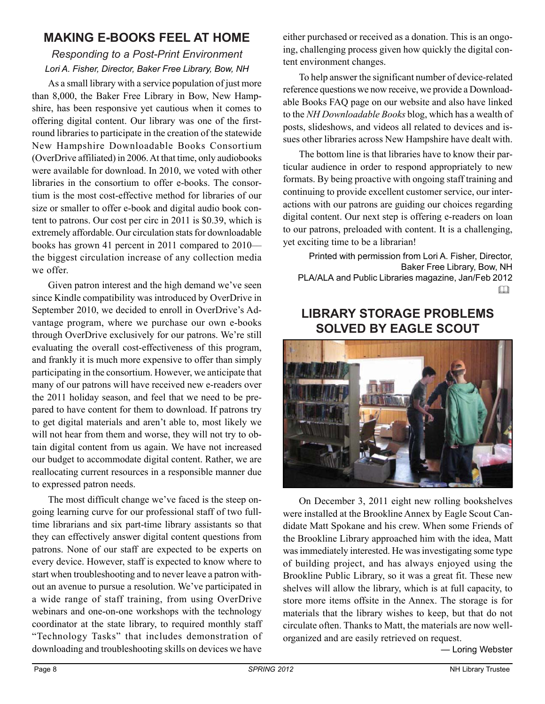## **MAKING E-BOOKS FEEL AT HOME**

## *Responding to a Post-Print Environment Lori A. Fisher, Director, Baker Free Library, Bow, NH*

As a small library with a service population of just more than 8,000, the Baker Free Library in Bow, New Hampshire, has been responsive yet cautious when it comes to offering digital content. Our library was one of the firstround libraries to participate in the creation of the statewide New Hampshire Downloadable Books Consortium (OverDrive affiliated) in 2006. At that time, only audiobooks were available for download. In 2010, we voted with other libraries in the consortium to offer e-books. The consortium is the most cost-effective method for libraries of our size or smaller to offer e-book and digital audio book content to patrons. Our cost per circ in 2011 is \$0.39, which is extremely affordable. Our circulation stats for downloadable books has grown 41 percent in 2011 compared to 2010–– the biggest circulation increase of any collection media we offer.

Given patron interest and the high demand we've seen since Kindle compatibility was introduced by OverDrive in September 2010, we decided to enroll in OverDrive's Advantage program, where we purchase our own e-books through OverDrive exclusively for our patrons. We're still evaluating the overall cost-effectiveness of this program, and frankly it is much more expensive to offer than simply participating in the consortium. However, we anticipate that many of our patrons will have received new e-readers over the 2011 holiday season, and feel that we need to be prepared to have content for them to download. If patrons try to get digital materials and aren't able to, most likely we will not hear from them and worse, they will not try to obtain digital content from us again. We have not increased our budget to accommodate digital content. Rather, we are reallocating current resources in a responsible manner due to expressed patron needs.

The most difficult change we've faced is the steep ongoing learning curve for our professional staff of two fulltime librarians and six part-time library assistants so that they can effectively answer digital content questions from patrons. None of our staff are expected to be experts on every device. However, staff is expected to know where to start when troubleshooting and to never leave a patron without an avenue to pursue a resolution. We've participated in a wide range of staff training, from using OverDrive webinars and one-on-one workshops with the technology coordinator at the state library, to required monthly staff "Technology Tasks" that includes demonstration of downloading and troubleshooting skills on devices we have

either purchased or received as a donation. This is an ongoing, challenging process given how quickly the digital content environment changes.

To help answer the significant number of device-related reference questions we now receive, we provide a Downloadable Books FAQ page on our website and also have linked to the *NH Downloadable Books* blog, which has a wealth of posts, slideshows, and videos all related to devices and issues other libraries across New Hampshire have dealt with.

The bottom line is that libraries have to know their particular audience in order to respond appropriately to new formats. By being proactive with ongoing staff training and continuing to provide excellent customer service, our interactions with our patrons are guiding our choices regarding digital content. Our next step is offering e-readers on loan to our patrons, preloaded with content. It is a challenging, yet exciting time to be a librarian!

Printed with permission from Lori A. Fisher, Director, Baker Free Library, Bow, NH PLA/ALA and Public Libraries magazine, Jan/Feb 2012  $\Box$ 

## **LIBRARY STORAGE PROBLEMS SOLVED BY EAGLE SCOUT**



On December 3, 2011 eight new rolling bookshelves were installed at the Brookline Annex by Eagle Scout Candidate Matt Spokane and his crew. When some Friends of the Brookline Library approached him with the idea, Matt was immediately interested. He was investigating some type of building project, and has always enjoyed using the Brookline Public Library, so it was a great fit. These new shelves will allow the library, which is at full capacity, to store more items offsite in the Annex. The storage is for materials that the library wishes to keep, but that do not circulate often. Thanks to Matt, the materials are now wellorganized and are easily retrieved on request.

— Loring Webster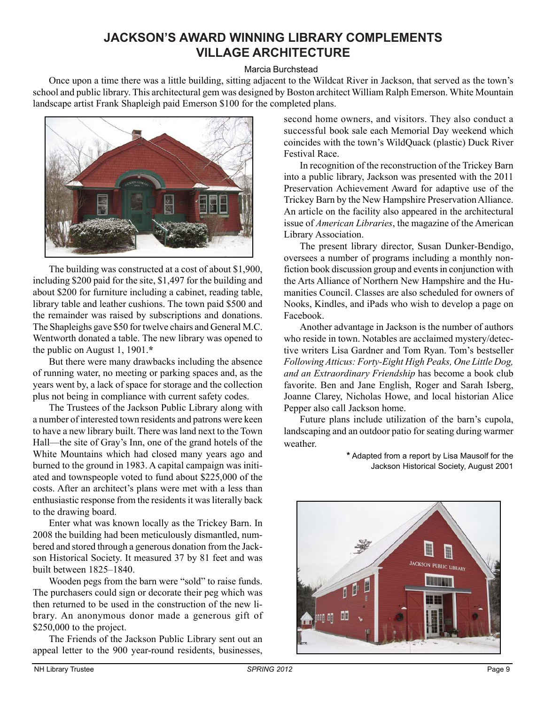## **JACKSON'S AWARD WINNING LIBRARY COMPLEMENTS VILLAGE ARCHITECTURE**

#### Marcia Burchstead

Once upon a time there was a little building, sitting adjacent to the Wildcat River in Jackson, that served as the town's school and public library. This architectural gem was designed by Boston architect William Ralph Emerson. White Mountain landscape artist Frank Shapleigh paid Emerson \$100 for the completed plans.



The building was constructed at a cost of about \$1,900, including \$200 paid for the site, \$1,497 for the building and about \$200 for furniture including a cabinet, reading table, library table and leather cushions. The town paid \$500 and the remainder was raised by subscriptions and donations. The Shapleighs gave \$50 for twelve chairs and General M.C. Wentworth donated a table. The new library was opened to the public on August 1, 1901.**\***

But there were many drawbacks including the absence of running water, no meeting or parking spaces and, as the years went by, a lack of space for storage and the collection plus not being in compliance with current safety codes.

The Trustees of the Jackson Public Library along with a number of interested town residents and patrons were keen to have a new library built. There was land next to the Town Hall—the site of Gray's Inn, one of the grand hotels of the White Mountains which had closed many years ago and burned to the ground in 1983. A capital campaign was initiated and townspeople voted to fund about \$225,000 of the costs. After an architect's plans were met with a less than enthusiastic response from the residents it was literally back to the drawing board.

Enter what was known locally as the Trickey Barn. In 2008 the building had been meticulously dismantled, numbered and stored through a generous donation from the Jackson Historical Society. It measured 37 by 81 feet and was built between 1825–1840.

Wooden pegs from the barn were "sold" to raise funds. The purchasers could sign or decorate their peg which was then returned to be used in the construction of the new library. An anonymous donor made a generous gift of \$250,000 to the project.

The Friends of the Jackson Public Library sent out an appeal letter to the 900 year-round residents, businesses,

second home owners, and visitors. They also conduct a successful book sale each Memorial Day weekend which coincides with the town's WildQuack (plastic) Duck River Festival Race.

In recognition of the reconstruction of the Trickey Barn into a public library, Jackson was presented with the 2011 Preservation Achievement Award for adaptive use of the Trickey Barn by the New Hampshire Preservation Alliance. An article on the facility also appeared in the architectural issue of *American Libraries*, the magazine of the American Library Association.

The present library director, Susan Dunker-Bendigo, oversees a number of programs including a monthly nonfiction book discussion group and events in conjunction with the Arts Alliance of Northern New Hampshire and the Humanities Council. Classes are also scheduled for owners of Nooks, Kindles, and iPads who wish to develop a page on Facebook.

Another advantage in Jackson is the number of authors who reside in town. Notables are acclaimed mystery/detective writers Lisa Gardner and Tom Ryan. Tom's bestseller *Following Atticus: Forty-Eight High Peaks, One Little Dog, and an Extraordinary Friendship* has become a book club favorite. Ben and Jane English, Roger and Sarah Isberg, Joanne Clarey, Nicholas Howe, and local historian Alice Pepper also call Jackson home.

Future plans include utilization of the barn's cupola, landscaping and an outdoor patio for seating during warmer weather.

> **\*** Adapted from a report by Lisa Mausolf for the Jackson Historical Society, August 2001

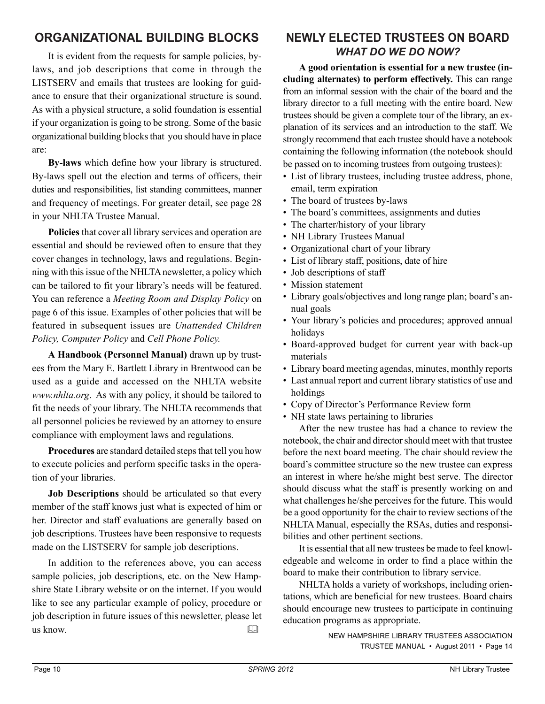## **ORGANIZATIONAL BUILDING BLOCKS**

It is evident from the requests for sample policies, bylaws, and job descriptions that come in through the LISTSERV and emails that trustees are looking for guidance to ensure that their organizational structure is sound. As with a physical structure, a solid foundation is essential if your organization is going to be strong. Some of the basic organizational building blocks that you should have in place are:

**By-laws** which define how your library is structured. By-laws spell out the election and terms of officers, their duties and responsibilities, list standing committees, manner and frequency of meetings. For greater detail, see page 28 in your NHLTA Trustee Manual.

**Policies** that cover all library services and operation are essential and should be reviewed often to ensure that they cover changes in technology, laws and regulations. Beginning with this issue of the NHLTA newsletter, a policy which can be tailored to fit your library's needs will be featured. You can reference a *Meeting Room and Display Policy* on page 6 of this issue. Examples of other policies that will be featured in subsequent issues are *Unattended Children Policy, Computer Policy* and *Cell Phone Policy.*

**A Handbook (Personnel Manual)** drawn up by trustees from the Mary E. Bartlett Library in Brentwood can be used as a guide and accessed on the NHLTA website *www.nhlta.org*. As with any policy, it should be tailored to fit the needs of your library. The NHLTA recommends that all personnel policies be reviewed by an attorney to ensure compliance with employment laws and regulations.

**Procedures** are standard detailed steps that tell you how to execute policies and perform specific tasks in the operation of your libraries.

**Job Descriptions** should be articulated so that every member of the staff knows just what is expected of him or her. Director and staff evaluations are generally based on job descriptions. Trustees have been responsive to requests made on the LISTSERV for sample job descriptions.

In addition to the references above, you can access sample policies, job descriptions, etc. on the New Hampshire State Library website or on the internet. If you would like to see any particular example of policy, procedure or job description in future issues of this newsletter, please let us know. 

## **NEWLY ELECTED TRUSTEES ON BOARD** *WHAT DO WE DO NOW?*

**A good orientation is essential for a new trustee (including alternates) to perform effectively.** This can range from an informal session with the chair of the board and the library director to a full meeting with the entire board. New trustees should be given a complete tour of the library, an explanation of its services and an introduction to the staff. We strongly recommend that each trustee should have a notebook containing the following information (the notebook should be passed on to incoming trustees from outgoing trustees):

- List of library trustees, including trustee address, phone, email, term expiration
- The board of trustees by-laws
- The board's committees, assignments and duties
- The charter/history of your library
- NH Library Trustees Manual
- Organizational chart of your library
- List of library staff, positions, date of hire
- Job descriptions of staff
- Mission statement
- Library goals/objectives and long range plan; board's annual goals
- Your library's policies and procedures; approved annual holidays
- Board-approved budget for current year with back-up materials
- Library board meeting agendas, minutes, monthly reports
- Last annual report and current library statistics of use and holdings
- Copy of Director's Performance Review form
- NH state laws pertaining to libraries

After the new trustee has had a chance to review the notebook, the chair and director should meet with that trustee before the next board meeting. The chair should review the board's committee structure so the new trustee can express an interest in where he/she might best serve. The director should discuss what the staff is presently working on and what challenges he/she perceives for the future. This would be a good opportunity for the chair to review sections of the NHLTA Manual, especially the RSAs, duties and responsibilities and other pertinent sections.

It is essential that all new trustees be made to feel knowledgeable and welcome in order to find a place within the board to make their contribution to library service.

NHLTA holds a variety of workshops, including orientations, which are beneficial for new trustees. Board chairs should encourage new trustees to participate in continuing education programs as appropriate.

NEW HAMPSHIRE LIBRARY TRUSTEES ASSOCIATION TRUSTEE MANUAL • August 2011 • Page 14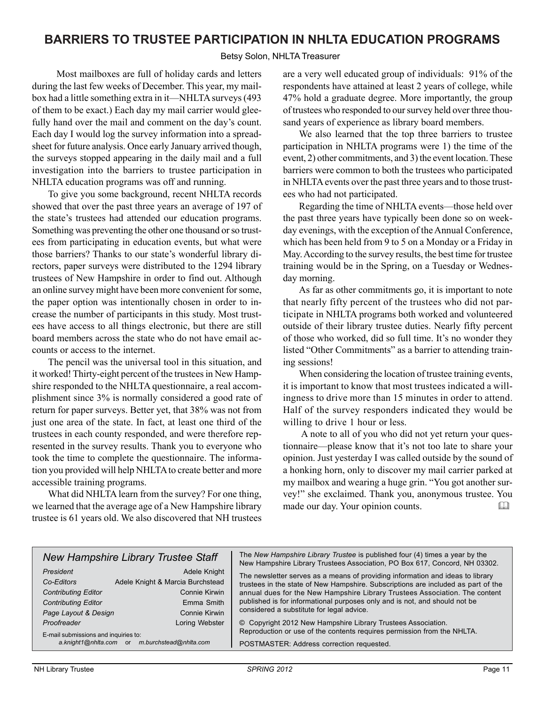## **BARRIERS TO TRUSTEE PARTICIPATION IN NHLTA EDUCATION PROGRAMS**

#### Betsy Solon, NHLTA Treasurer

Most mailboxes are full of holiday cards and letters during the last few weeks of December. This year, my mailbox had a little something extra in it—NHLTA surveys (493 of them to be exact.) Each day my mail carrier would gleefully hand over the mail and comment on the day's count. Each day I would log the survey information into a spreadsheet for future analysis. Once early January arrived though, the surveys stopped appearing in the daily mail and a full investigation into the barriers to trustee participation in NHLTA education programs was off and running.

To give you some background, recent NHLTA records showed that over the past three years an average of 197 of the state's trustees had attended our education programs. Something was preventing the other one thousand or so trustees from participating in education events, but what were those barriers? Thanks to our state's wonderful library directors, paper surveys were distributed to the 1294 library trustees of New Hampshire in order to find out. Although an online survey might have been more convenient for some, the paper option was intentionally chosen in order to increase the number of participants in this study. Most trustees have access to all things electronic, but there are still board members across the state who do not have email accounts or access to the internet.

The pencil was the universal tool in this situation, and it worked! Thirty-eight percent of the trustees in New Hampshire responded to the NHLTA questionnaire, a real accomplishment since 3% is normally considered a good rate of return for paper surveys. Better yet, that 38% was not from just one area of the state. In fact, at least one third of the trustees in each county responded, and were therefore represented in the survey results. Thank you to everyone who took the time to complete the questionnaire. The information you provided will help NHLTA to create better and more accessible training programs.

What did NHLTA learn from the survey? For one thing, we learned that the average age of a New Hampshire library trustee is 61 years old. We also discovered that NH trustees are a very well educated group of individuals: 91% of the respondents have attained at least 2 years of college, while 47% hold a graduate degree. More importantly, the group of trustees who responded to our survey held over three thousand years of experience as library board members.

We also learned that the top three barriers to trustee participation in NHLTA programs were 1) the time of the event, 2) other commitments, and 3) the event location. These barriers were common to both the trustees who participated in NHLTA events over the past three years and to those trustees who had not participated.

Regarding the time of NHLTA events—those held over the past three years have typically been done so on weekday evenings, with the exception of the Annual Conference, which has been held from 9 to 5 on a Monday or a Friday in May. According to the survey results, the best time for trustee training would be in the Spring, on a Tuesday or Wednesday morning.

As far as other commitments go, it is important to note that nearly fifty percent of the trustees who did not participate in NHLTA programs both worked and volunteered outside of their library trustee duties. Nearly fifty percent of those who worked, did so full time. It's no wonder they listed "Other Commitments" as a barrier to attending training sessions!

When considering the location of trustee training events, it is important to know that most trustees indicated a willingness to drive more than 15 minutes in order to attend. Half of the survey responders indicated they would be willing to drive 1 hour or less.

 A note to all of you who did not yet return your questionnaire—please know that it's not too late to share your opinion. Just yesterday I was called outside by the sound of a honking horn, only to discover my mail carrier parked at my mailbox and wearing a huge grin. "You got another survey!" she exclaimed. Thank you, anonymous trustee. You made our day. Your opinion counts.

|                                      | <b>New Hampshire Library Trustee Staff</b> | The New Hampshire Library Trustee is published four (4) times a year by the<br>New Hampshire Library Trustees Association, PO Box 617, Concord, NH 03302. |
|--------------------------------------|--------------------------------------------|-----------------------------------------------------------------------------------------------------------------------------------------------------------|
| President                            | Adele Knight                               | The newsletter serves as a means of providing information and ideas to library                                                                            |
| Co-Editors                           | Adele Knight & Marcia Burchstead           | trustees in the state of New Hampshire. Subscriptions are included as part of the                                                                         |
| <b>Contributing Editor</b>           | Connie Kirwin                              | annual dues for the New Hampshire Library Trustees Association. The content                                                                               |
| <b>Contributing Editor</b>           | Emma Smith                                 | published is for informational purposes only and is not, and should not be                                                                                |
| Page Layout & Design                 | Connie Kirwin                              | considered a substitute for legal advice.                                                                                                                 |
| Proofreader                          | Loring Webster                             | © Copyright 2012 New Hampshire Library Trustees Association.                                                                                              |
| E-mail submissions and inquiries to: |                                            | Reproduction or use of the contents requires permission from the NHLTA.                                                                                   |
| a.knight1@nhlta.com or               | m.burchstead@nhlta.com                     | POSTMASTER: Address correction requested.                                                                                                                 |